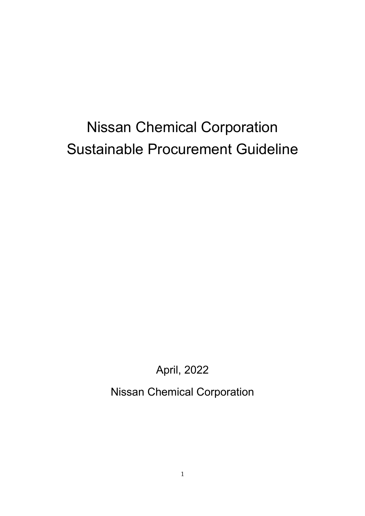# Nissan Chemical Corporation Sustainable Procurement Guideline

April, 2022

Nissan Chemical Corporation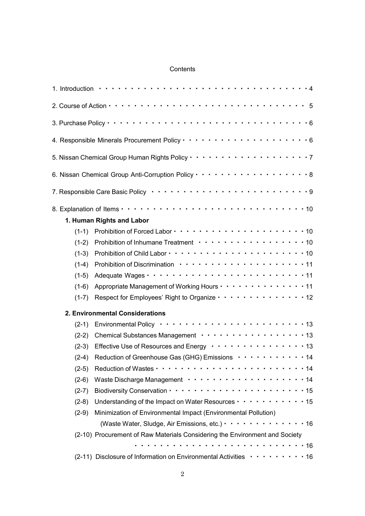### **Contents**

|         | 1. Introduction $\cdots$ $\cdots$ $\cdots$ $\cdots$ $\cdots$ $\cdots$ $\cdots$ $\cdots$ $\cdots$ $\cdots$ $\cdots$ $\cdots$ $\cdots$ $\cdots$ $\cdots$ $\cdots$ $\cdots$ |
|---------|--------------------------------------------------------------------------------------------------------------------------------------------------------------------------|
|         |                                                                                                                                                                          |
|         |                                                                                                                                                                          |
|         | 4. Responsible Minerals Procurement Policy $\cdots \cdots \cdots \cdots \cdots \cdots \cdots \cdots \cdots 6$                                                            |
|         | 5. Nissan Chemical Group Human Rights Policy $\cdots \cdots \cdots \cdots \cdots \cdots \cdots \cdots$                                                                   |
|         |                                                                                                                                                                          |
|         | 7. Responsible Care Basic Policy •••••••••••••••••••••••••••••                                                                                                           |
|         |                                                                                                                                                                          |
|         | 1. Human Rights and Labor                                                                                                                                                |
|         | $(1-1)$ Prohibition of Forced Labor $\cdots$ $\cdots$ $\cdots$ $\cdots$ $\cdots$ $\cdots$ $\cdots$ $\cdots$ $\cdots$ 10                                                  |
|         | $(1-2)$ Prohibition of Inhumane Treatment $\cdots \cdots \cdots \cdots \cdots \cdots \cdots$ 10                                                                          |
|         |                                                                                                                                                                          |
|         |                                                                                                                                                                          |
|         | $(1-5)$ Adequate Wages $\cdots$ $\cdots$ $\cdots$ $\cdots$ $\cdots$ $\cdots$ $\cdots$ $\cdots$ $\cdots$ 11                                                               |
|         | (1-6) Appropriate Management of Working Hours · · · · · · · · · · · · · · 11                                                                                             |
|         | (1-7) Respect for Employees' Right to Organize $\cdots$ $\cdots$ $\cdots$ $\cdots$ $\cdots$ $\cdots$ 12                                                                  |
|         | 2. Environmental Considerations                                                                                                                                          |
|         | $(2-1)$ Environmental Policy $\cdots$ $\cdots$ $\cdots$ $\cdots$ $\cdots$ $\cdots$ $\cdots$ $\cdots$ $\cdots$ 13                                                         |
|         | (2-2) Chemical Substances Management · · · · · · · · · · · · · · · · · 13                                                                                                |
|         | (2-3) Effective Use of Resources and Energy $\cdots \cdots \cdots \cdots \cdots$ 13                                                                                      |
|         | (2-4) Reduction of Greenhouse Gas (GHG) Emissions $\cdots \cdots \cdots \cdots$ 14                                                                                       |
| $(2-5)$ |                                                                                                                                                                          |
| $(2-6)$ |                                                                                                                                                                          |
| $(2-7)$ |                                                                                                                                                                          |
| $(2-8)$ | Understanding of the Impact on Water Resources · · · · · · · · · · · 15                                                                                                  |
| $(2-9)$ | Minimization of Environmental Impact (Environmental Pollution)                                                                                                           |
|         | (Waste Water, Sludge, Air Emissions, etc.) · · · · · · · · · · · · · 16                                                                                                  |
|         | (2-10) Procurement of Raw Materials Considering the Environment and Society                                                                                              |
|         |                                                                                                                                                                          |
|         | $(2-11)$ Disclosure of Information on Environmental Activities $\cdots \cdots \cdots 16$                                                                                 |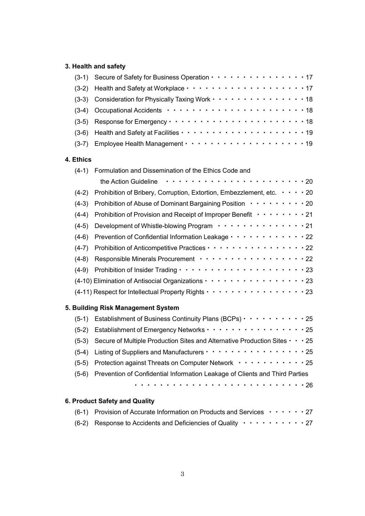## **3. Health and safety**

|                                    |         | (3-1) Secure of Safety for Business Operation · · · · · · · · · · · · · · · 17                      |
|------------------------------------|---------|-----------------------------------------------------------------------------------------------------|
|                                    | $(3-2)$ |                                                                                                     |
|                                    | $(3-3)$ | Consideration for Physically Taxing Work · · · · · · · · · · · · · · · 18                           |
|                                    | $(3-4)$ |                                                                                                     |
|                                    | $(3-5)$ |                                                                                                     |
|                                    | $(3-6)$ |                                                                                                     |
|                                    |         |                                                                                                     |
| 4. Ethics                          |         |                                                                                                     |
|                                    |         | (4-1) Formulation and Dissemination of the Ethics Code and                                          |
|                                    |         |                                                                                                     |
|                                    | $(4-2)$ | Prohibition of Bribery, Corruption, Extortion, Embezzlement, etc. $\cdots$ $\cdots$ 20              |
|                                    | $(4-3)$ | Prohibition of Abuse of Dominant Bargaining Position · · · · · · · · · 20                           |
|                                    | $(4-4)$ | Prohibition of Provision and Receipt of Improper Benefit · · · · · · · · 21                         |
|                                    | $(4-5)$ | Development of Whistle-blowing Program ··············21                                             |
|                                    | $(4-6)$ | Prevention of Confidential Information Leakage · · · · · · · · · · · · 22                           |
|                                    |         | (4-7) Prohibition of Anticompetitive Practices · · · · · · · · · · · · · · · · · 22                 |
|                                    | $(4-8)$ | Responsible Minerals Procurement · · · · · · · · · · · · · · · · · · 22                             |
|                                    |         |                                                                                                     |
|                                    |         | (4-10) Elimination of Antisocial Organizations · · · · · · · · · · · · · · · · · 23                 |
|                                    |         | (4-11) Respect for Intellectual Property Rights · · · · · · · · · · · · · · · · · 23                |
| 5. Building Risk Management System |         |                                                                                                     |
|                                    |         | (5-1) Establishment of Business Continuity Plans (BCPs) $\cdots$ 25                                 |
|                                    |         | (5-2) Establishment of Emergency Networks · · · · · · · · · · · · · · · · · 25                      |
|                                    |         | $(5-3)$ Secure of Multiple Production Sites and Alternative Production Sites $\cdot \cdot \cdot 25$ |
|                                    | $(5-4)$ | Listing of Suppliers and Manufacturers · · · · · · · · · · · · · · · · · · 25                       |
|                                    |         | (5-5) Protection against Threats on Computer Network · · · · · · · · · · · 25                       |
|                                    |         | (5-6) Prevention of Confidential Information Leakage of Clients and Third Parties                   |
|                                    |         |                                                                                                     |
| 6. Product Safety and Quality      |         |                                                                                                     |

# (6-1) Provision of Accurate Information on Products and Services  $\cdots \cdots$  27 (6-2) Response to Accidents and Deficiencies of Quality  $\cdots \cdots \cdots$  27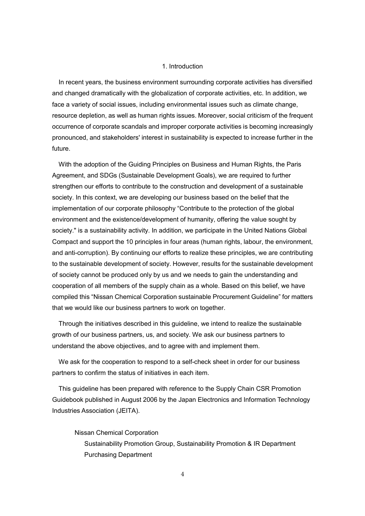#### 1. Introduction

In recent years, the business environment surrounding corporate activities has diversified and changed dramatically with the globalization of corporate activities, etc. In addition, we face a variety of social issues, including environmental issues such as climate change, resource depletion, as well as human rights issues. Moreover, social criticism of the frequent occurrence of corporate scandals and improper corporate activities is becoming increasingly pronounced, and stakeholders' interest in sustainability is expected to increase further in the future.

With the adoption of the Guiding Principles on Business and Human Rights, the Paris Agreement, and SDGs (Sustainable Development Goals), we are required to further strengthen our efforts to contribute to the construction and development of a sustainable society. In this context, we are developing our business based on the belief that the implementation of our corporate philosophy "Contribute to the protection of the global environment and the existence/development of humanity, offering the value sought by society." is a sustainability activity. In addition, we participate in the United Nations Global Compact and support the 10 principles in four areas (human rights, labour, the environment, and anti-corruption). By continuing our efforts to realize these principles, we are contributing to the sustainable development of society. However, results for the sustainable development of society cannot be produced only by us and we needs to gain the understanding and cooperation of all members of the supply chain as a whole. Based on this belief, we have compiled this "Nissan Chemical Corporation sustainable Procurement Guideline" for matters that we would like our business partners to work on together.

Through the initiatives described in this guideline, we intend to realize the sustainable growth of our business partners, us, and society. We ask our business partners to understand the above objectives, and to agree with and implement them.

We ask for the cooperation to respond to a self-check sheet in order for our business partners to confirm the status of initiatives in each item.

This guideline has been prepared with reference to the Supply Chain CSR Promotion Guidebook published in August 2006 by the Japan Electronics and Information Technology Industries Association (JEITA).

Nissan Chemical Corporation Sustainability Promotion Group, Sustainability Promotion & IR Department Purchasing Department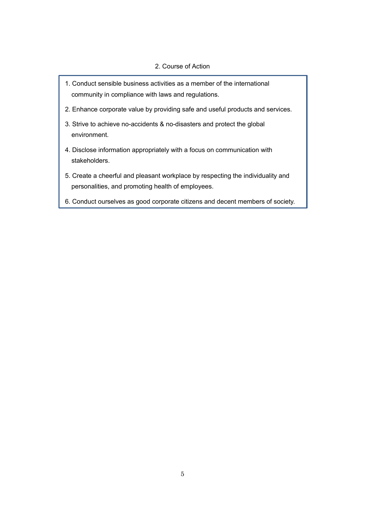#### 2. Course of Action

- 1. Conduct sensible business activities as a member of the international community in compliance with laws and regulations.
- 2. Enhance corporate value by providing safe and useful products and services.
- 3. Strive to achieve no-accidents & no-disasters and protect the global environment.
- 4. Disclose information appropriately with a focus on communication with stakeholders.
- 5. Create a cheerful and pleasant workplace by respecting the individuality and personalities, and promoting health of employees.
- 6. Conduct ourselves as good corporate citizens and decent members of society.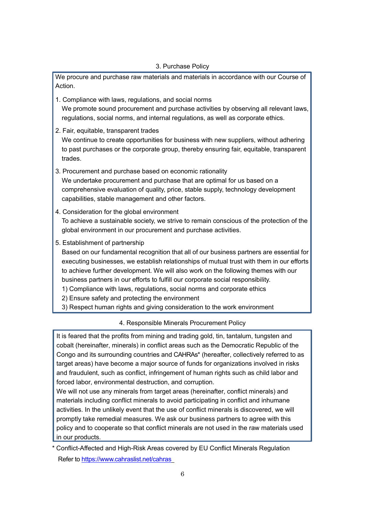We procure and purchase raw materials and materials in accordance with our Course of Action.

- 1. Compliance with laws, regulations, and social norms We promote sound procurement and purchase activities by observing all relevant laws, regulations, social norms, and internal regulations, as well as corporate ethics.
- 2. Fair, equitable, transparent trades We continue to create opportunities for business with new suppliers, without adhering to past purchases or the corporate group, thereby ensuring fair, equitable, transparent trades.
- 3. Procurement and purchase based on economic rationality We undertake procurement and purchase that are optimal for us based on a comprehensive evaluation of quality, price, stable supply, technology development capabilities, stable management and other factors.
- 4. Consideration for the global environment To achieve a sustainable society, we strive to remain conscious of the protection of the global environment in our procurement and purchase activities.
- 5. Establishment of partnership

Based on our fundamental recognition that all of our business partners are essential for executing businesses, we establish relationships of mutual trust with them in our efforts to achieve further development. We will also work on the following themes with our business partners in our efforts to fulfill our corporate social responsibility.

- 1) Compliance with laws, regulations, social norms and corporate ethics
- 2) Ensure safety and protecting the environment
- 3) Respect human rights and giving consideration to the work environment

### 4. Responsible Minerals Procurement Policy

It is feared that the profits from mining and trading gold, tin, tantalum, tungsten and cobalt (hereinafter, minerals) in conflict areas such as the Democratic Republic of the Congo and its surrounding countries and CAHRAs\* (hereafter, collectively referred to as target areas) have become a major source of funds for organizations involved in risks and fraudulent, such as conflict, infringement of human rights such as child labor and forced labor, environmental destruction, and corruption.

We will not use any minerals from target areas (hereinafter, conflict minerals) and materials including conflict minerals to avoid participating in conflict and inhumane activities. In the unlikely event that the use of conflict minerals is discovered, we will promptly take remedial measures. We ask our business partners to agree with this policy and to cooperate so that conflict minerals are not used in the raw materials used in our products.

<sup>\*</sup> Conflict-Affected and High-Risk Areas covered by EU Conflict Minerals Regulation Refer to <https://www.cahraslist.net/cahras>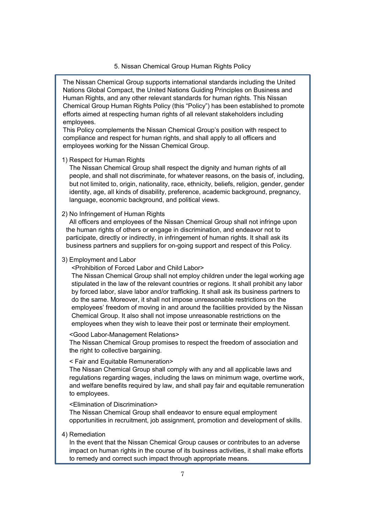#### 5. Nissan Chemical Group Human Rights Policy

The Nissan Chemical Group supports international standards including the United Nations Global Compact, the United Nations Guiding Principles on Business and Human Rights, and any other relevant standards for human rights. This Nissan Chemical Group Human Rights Policy (this "Policy") has been established to promote efforts aimed at respecting human rights of all relevant stakeholders including employees.

This Policy complements the Nissan Chemical Group's position with respect to compliance and respect for human rights, and shall apply to all officers and employees working for the Nissan Chemical Group.

1) Respect for Human Rights

The Nissan Chemical Group shall respect the dignity and human rights of all people, and shall not discriminate, for whatever reasons, on the basis of, including, but not limited to, origin, nationality, race, ethnicity, beliefs, religion, gender, gender identity, age, all kinds of disability, preference, academic background, pregnancy, language, economic background, and political views.

2) No Infringement of Human Rights

All officers and employees of the Nissan Chemical Group shall not infringe upon the human rights of others or engage in discrimination, and endeavor not to participate, directly or indirectly, in infringement of human rights. It shall ask its business partners and suppliers for on-going support and respect of this Policy.

#### 3) Employment and Labor

<Prohibition of Forced Labor and Child Labor>

The Nissan Chemical Group shall not employ children under the legal working age stipulated in the law of the relevant countries or regions. It shall prohibit any labor by forced labor, slave labor and/or trafficking. It shall ask its business partners to do the same. Moreover, it shall not impose unreasonable restrictions on the employees' freedom of moving in and around the facilities provided by the Nissan Chemical Group. It also shall not impose unreasonable restrictions on the employees when they wish to leave their post or terminate their employment.

<Good Labor-Management Relations>

The Nissan Chemical Group promises to respect the freedom of association and the right to collective bargaining.

< Fair and Equitable Remuneration>

The Nissan Chemical Group shall comply with any and all applicable laws and regulations regarding wages, including the laws on minimum wage, overtime work, and welfare benefits required by law, and shall pay fair and equitable remuneration to employees.

#### <Elimination of Discrimination>

The Nissan Chemical Group shall endeavor to ensure equal employment opportunities in recruitment, job assignment, promotion and development of skills.

#### 4) Remediation

In the event that the Nissan Chemical Group causes or contributes to an adverse impact on human rights in the course of its business activities, it shall make efforts to remedy and correct such impact through appropriate means.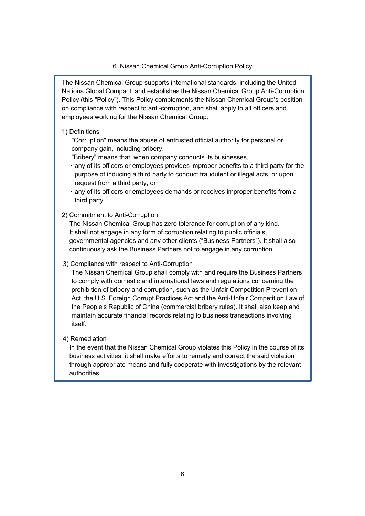#### 6. Nissan Chemical Group Anti-Corruption Policy

The Nissan Chemical Group supports international standards, including the United Nations Global Compact, and establishes the Nissan Chemical Group Anti-Corruption Policy (this "Policy"). This Policy complements the Nissan Chemical Group's position on compliance with respect to anti-corruption, and shall apply to all officers and employees working for the Nissan Chemical Group.

#### 1) Definitions

"Corruption" means the abuse of entrusted official authority for personal or company gain, including bribery.

"Bribery" means that, when company conducts its businesses,

- ・any of its officers or employees provides improper benefits to a third party for the purpose of inducing a third party to conduct fraudulent or illegal acts, or upon request from a third party, or
- ・any of its officers or employees demands or receives improper benefits from a third party.

#### 2) Commitment to Anti-Corruption

The Nissan Chemical Group has zero tolerance for corruption of any kind. It shall not engage in any form of corruption relating to public officials, governmental agencies and any other clients ("Business Partners"). It shall also continuously ask the Business Partners not to engage in any corruption.

#### 3) Compliance with respect to Anti-Corruption

The Nissan Chemical Group shall comply with and require the Business Partners to comply with domestic and international laws and regulations concerning the prohibition of bribery and corruption, such as the Unfair Competition Prevention Act, the U.S. Foreign Corrupt Practices Act and the Anti-Unfair Competition Law of the People's Republic of China (commercial bribery rules). It shall also keep and maintain accurate financial records relating to business transactions involving itself.

#### 4) Remediation

In the event that the Nissan Chemical Group violates this Policy in the course of its business activities, it shall make efforts to remedy and correct the said violation through appropriate means and fully cooperate with investigations by the relevant authorities.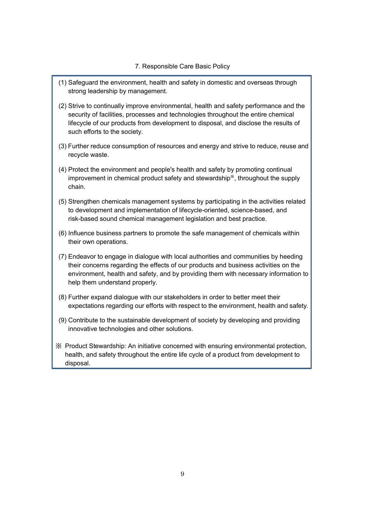#### 7. Responsible Care Basic Policy

- (1) Safeguard the environment, health and safety in domestic and overseas through strong leadership by management.
- (2) Strive to continually improve environmental, health and safety performance and the security of facilities, processes and technologies throughout the entire chemical lifecycle of our products from development to disposal, and disclose the results of such efforts to the society.
- (3) Further reduce consumption of resources and energy and strive to reduce, reuse and recycle waste.
- (4) Protect the environment and people's health and safety by promoting continual improvement in chemical product safety and stewardship※, throughout the supply chain.
- (5) Strengthen chemicals management systems by participating in the activities related to development and implementation of lifecycle-oriented, science-based, and risk-based sound chemical management legislation and best practice.
- (6) Influence business partners to promote the safe management of chemicals within their own operations.
- (7) Endeavor to engage in dialogue with local authorities and communities by heeding their concerns regarding the effects of our products and business activities on the environment, health and safety, and by providing them with necessary information to help them understand properly.
- (8) Further expand dialogue with our stakeholders in order to better meet their expectations regarding our efforts with respect to the environment, health and safety.
- (9) Contribute to the sustainable development of society by developing and providing innovative technologies and other solutions.
- ※ Product Stewardship: An initiative concerned with ensuring environmental protection, health, and safety throughout the entire life cycle of a product from development to disposal.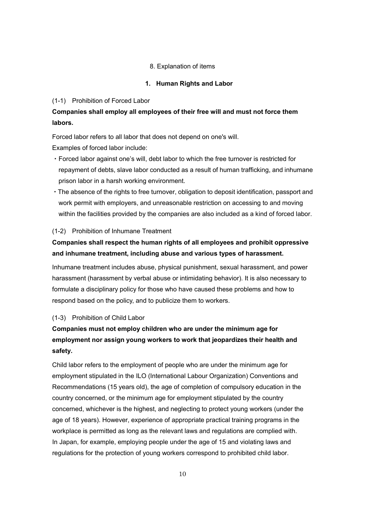#### 8. Explanation of items

#### **1. Human Rights and Labor**

#### (1-1) Prohibition of Forced Labor

## **Companies shall employ all employees of their free will and must not force them labors.**

Forced labor refers to all labor that does not depend on one's will. Examples of forced labor include:

- ・Forced labor against one's will, debt labor to which the free turnover is restricted for repayment of debts, slave labor conducted as a result of human trafficking, and inhumane prison labor in a harsh working environment.
- ・The absence of the rights to free turnover, obligation to deposit identification, passport and work permit with employers, and unreasonable restriction on accessing to and moving within the facilities provided by the companies are also included as a kind of forced labor.

#### (1-2) Prohibition of Inhumane Treatment

# **Companies shall respect the human rights of all employees and prohibit oppressive and inhumane treatment, including abuse and various types of harassment.**

Inhumane treatment includes abuse, physical punishment, sexual harassment, and power harassment (harassment by verbal abuse or intimidating behavior). It is also necessary to formulate a disciplinary policy for those who have caused these problems and how to respond based on the policy, and to publicize them to workers.

#### (1-3) Prohibition of Child Labor

# **Companies must not employ children who are under the minimum age for employment nor assign young workers to work that jeopardizes their health and safety.**

Child labor refers to the employment of people who are under the minimum age for employment stipulated in the ILO (International Labour Organization) Conventions and Recommendations (15 years old), the age of completion of compulsory education in the country concerned, or the minimum age for employment stipulated by the country concerned, whichever is the highest, and neglecting to protect young workers (under the age of 18 years). However, experience of appropriate practical training programs in the workplace is permitted as long as the relevant laws and regulations are complied with. In Japan, for example, employing people under the age of 15 and violating laws and regulations for the protection of young workers correspond to prohibited child labor.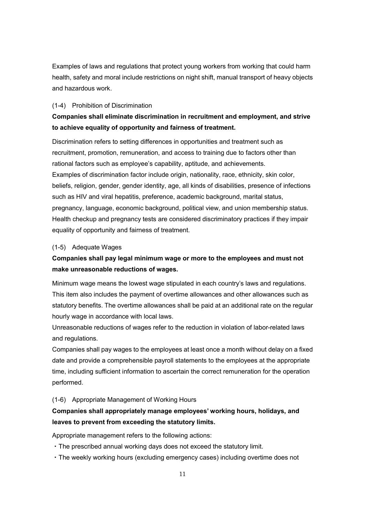Examples of laws and regulations that protect young workers from working that could harm health, safety and moral include restrictions on night shift, manual transport of heavy objects and hazardous work.

#### (1-4) Prohibition of Discrimination

# **Companies shall eliminate discrimination in recruitment and employment, and strive to achieve equality of opportunity and fairness of treatment.**

Discrimination refers to setting differences in opportunities and treatment such as recruitment, promotion, remuneration, and access to training due to factors other than rational factors such as employee's capability, aptitude, and achievements. Examples of discrimination factor include origin, nationality, race, ethnicity, skin color, beliefs, religion, gender, gender identity, age, all kinds of disabilities, presence of infections such as HIV and viral hepatitis, preference, academic background, marital status, pregnancy, language, economic background, political view, and union membership status. Health checkup and pregnancy tests are considered discriminatory practices if they impair equality of opportunity and fairness of treatment.

#### (1-5) Adequate Wages

## **Companies shall pay legal minimum wage or more to the employees and must not make unreasonable reductions of wages.**

Minimum wage means the lowest wage stipulated in each country's laws and regulations. This item also includes the payment of overtime allowances and other allowances such as statutory benefits. The overtime allowances shall be paid at an additional rate on the regular hourly wage in accordance with local laws.

Unreasonable reductions of wages refer to the reduction in violation of labor-related laws and regulations.

Companies shall pay wages to the employees at least once a month without delay on a fixed date and provide a comprehensible payroll statements to the employees at the appropriate time, including sufficient information to ascertain the correct remuneration for the operation performed.

#### (1-6) Appropriate Management of Working Hours

### **Companies shall appropriately manage employees' working hours, holidays, and leaves to prevent from exceeding the statutory limits.**

Appropriate management refers to the following actions:

- ・The prescribed annual working days does not exceed the statutory limit.
- ・The weekly working hours (excluding emergency cases) including overtime does not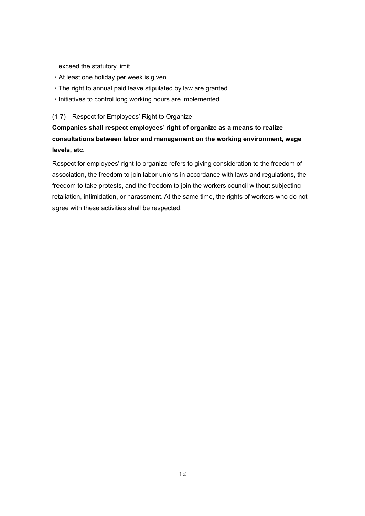exceed the statutory limit.

- ・At least one holiday per week is given.
- ・The right to annual paid leave stipulated by law are granted.
- ・Initiatives to control long working hours are implemented.

(1-7) Respect for Employees' Right to Organize

**Companies shall respect employees' right of organize as a means to realize consultations between labor and management on the working environment, wage levels, etc.**

Respect for employees' right to organize refers to giving consideration to the freedom of association, the freedom to join labor unions in accordance with laws and regulations, the freedom to take protests, and the freedom to join the workers council without subjecting retaliation, intimidation, or harassment. At the same time, the rights of workers who do not agree with these activities shall be respected.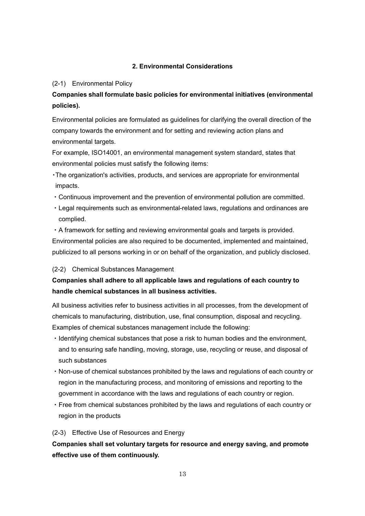#### **2. Environmental Considerations**

#### (2-1) Environmental Policy

# **Companies shall formulate basic policies for environmental initiatives (environmental policies).**

Environmental policies are formulated as guidelines for clarifying the overall direction of the company towards the environment and for setting and reviewing action plans and environmental targets.

For example, ISO14001, an environmental management system standard, states that environmental policies must satisfy the following items:

- ・The organization's activities, products, and services are appropriate for environmental impacts.
- ・Continuous improvement and the prevention of environmental pollution are committed.
- ・Legal requirements such as environmental-related laws, regulations and ordinances are complied.

・A framework for setting and reviewing environmental goals and targets is provided. Environmental policies are also required to be documented, implemented and maintained, publicized to all persons working in or on behalf of the organization, and publicly disclosed.

#### (2-2) Chemical Substances Management

# **Companies shall adhere to all applicable laws and regulations of each country to handle chemical substances in all business activities.**

All business activities refer to business activities in all processes, from the development of chemicals to manufacturing, distribution, use, final consumption, disposal and recycling. Examples of chemical substances management include the following:

- ・Identifying chemical substances that pose a risk to human bodies and the environment, and to ensuring safe handling, moving, storage, use, recycling or reuse, and disposal of such substances
- ・Non-use of chemical substances prohibited by the laws and regulations of each country or region in the manufacturing process, and monitoring of emissions and reporting to the government in accordance with the laws and regulations of each country or region.
- ・Free from chemical substances prohibited by the laws and regulations of each country or region in the products

#### (2-3) Effective Use of Resources and Energy

# **Companies shall set voluntary targets for resource and energy saving, and promote effective use of them continuously.**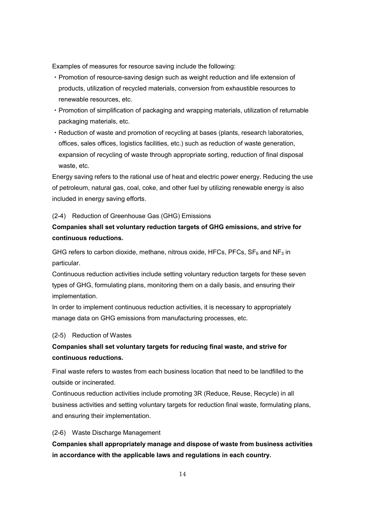Examples of measures for resource saving include the following:

- ・Promotion of resource-saving design such as weight reduction and life extension of products, utilization of recycled materials, conversion from exhaustible resources to renewable resources, etc.
- ・Promotion of simplification of packaging and wrapping materials, utilization of returnable packaging materials, etc.
- ・Reduction of waste and promotion of recycling at bases (plants, research laboratories, offices, sales offices, logistics facilities, etc.) such as reduction of waste generation, expansion of recycling of waste through appropriate sorting, reduction of final disposal waste, etc.

Energy saving refers to the rational use of heat and electric power energy. Reducing the use of petroleum, natural gas, coal, coke, and other fuel by utilizing renewable energy is also included in energy saving efforts.

#### (2-4) Reduction of Greenhouse Gas (GHG) Emissions

# **Companies shall set voluntary reduction targets of GHG emissions, and strive for continuous reductions.**

GHG refers to carbon dioxide, methane, nitrous oxide, HFCs, PFCs,  $SF_6$  and NF<sub>3</sub> in particular.

Continuous reduction activities include setting voluntary reduction targets for these seven types of GHG, formulating plans, monitoring them on a daily basis, and ensuring their implementation.

In order to implement continuous reduction activities, it is necessary to appropriately manage data on GHG emissions from manufacturing processes, etc.

#### (2-5) Reduction of Wastes

# **Companies shall set voluntary targets for reducing final waste, and strive for continuous reductions.**

Final waste refers to wastes from each business location that need to be landfilled to the outside or incinerated.

Continuous reduction activities include promoting 3R (Reduce, Reuse, Recycle) in all business activities and setting voluntary targets for reduction final waste, formulating plans, and ensuring their implementation.

#### (2-6) Waste Discharge Management

**Companies shall appropriately manage and dispose of waste from business activities in accordance with the applicable laws and regulations in each country.**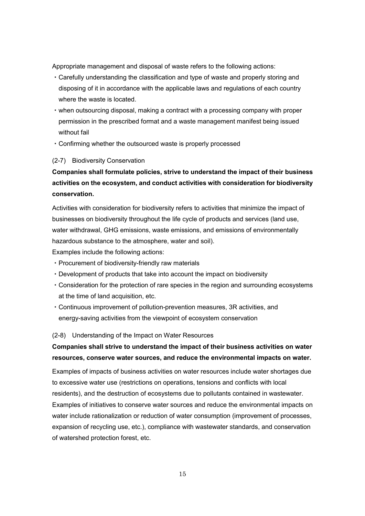Appropriate management and disposal of waste refers to the following actions:

- ・Carefully understanding the classification and type of waste and properly storing and disposing of it in accordance with the applicable laws and regulations of each country where the waste is located.
- ・when outsourcing disposal, making a contract with a processing company with proper permission in the prescribed format and a waste management manifest being issued without fail
- ・Confirming whether the outsourced waste is properly processed

#### (2-7) Biodiversity Conservation

# **Companies shall formulate policies, strive to understand the impact of their business activities on the ecosystem, and conduct activities with consideration for biodiversity conservation.**

Activities with consideration for biodiversity refers to activities that minimize the impact of businesses on biodiversity throughout the life cycle of products and services (land use, water withdrawal, GHG emissions, waste emissions, and emissions of environmentally hazardous substance to the atmosphere, water and soil).

Examples include the following actions:

- ・Procurement of biodiversity-friendly raw materials
- ・Development of products that take into account the impact on biodiversity
- ・Consideration for the protection of rare species in the region and surrounding ecosystems at the time of land acquisition, etc.
- ・Continuous improvement of pollution-prevention measures, 3R activities, and energy-saving activities from the viewpoint of ecosystem conservation

#### (2-8) Understanding of the Impact on Water Resources

### **Companies shall strive to understand the impact of their business activities on water resources, conserve water sources, and reduce the environmental impacts on water.**

Examples of impacts of business activities on water resources include water shortages due to excessive water use (restrictions on operations, tensions and conflicts with local residents), and the destruction of ecosystems due to pollutants contained in wastewater. Examples of initiatives to conserve water sources and reduce the environmental impacts on water include rationalization or reduction of water consumption (improvement of processes, expansion of recycling use, etc.), compliance with wastewater standards, and conservation of watershed protection forest, etc.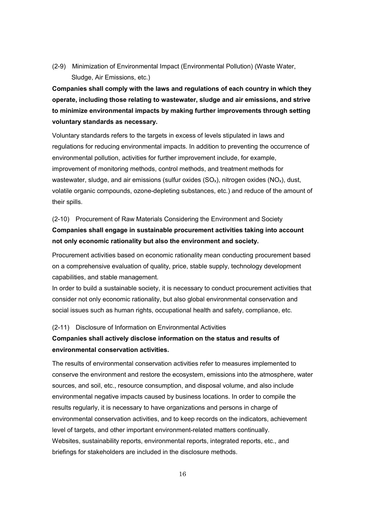(2-9) Minimization of Environmental Impact (Environmental Pollution) (Waste Water, Sludge, Air Emissions, etc.)

**Companies shall comply with the laws and regulations of each country in which they operate, including those relating to wastewater, sludge and air emissions, and strive to minimize environmental impacts by making further improvements through setting voluntary standards as necessary.**

Voluntary standards refers to the targets in excess of levels stipulated in laws and regulations for reducing environmental impacts. In addition to preventing the occurrence of environmental pollution, activities for further improvement include, for example, improvement of monitoring methods, control methods, and treatment methods for wastewater, sludge, and air emissions (sulfur oxides  $(SO_x)$ , nitrogen oxides  $(NO_x)$ , dust, volatile organic compounds, ozone-depleting substances, etc.) and reduce of the amount of their spills.

#### (2-10) Procurement of Raw Materials Considering the Environment and Society

### **Companies shall engage in sustainable procurement activities taking into account not only economic rationality but also the environment and society.**

Procurement activities based on economic rationality mean conducting procurement based on a comprehensive evaluation of quality, price, stable supply, technology development capabilities, and stable management.

In order to build a sustainable society, it is necessary to conduct procurement activities that consider not only economic rationality, but also global environmental conservation and social issues such as human rights, occupational health and safety, compliance, etc.

#### (2-11) Disclosure of Information on Environmental Activities

### **Companies shall actively disclose information on the status and results of environmental conservation activities.**

The results of environmental conservation activities refer to measures implemented to conserve the environment and restore the ecosystem, emissions into the atmosphere, water sources, and soil, etc., resource consumption, and disposal volume, and also include environmental negative impacts caused by business locations. In order to compile the results regularly, it is necessary to have organizations and persons in charge of environmental conservation activities, and to keep records on the indicators, achievement level of targets, and other important environment-related matters continually. Websites, sustainability reports, environmental reports, integrated reports, etc., and briefings for stakeholders are included in the disclosure methods.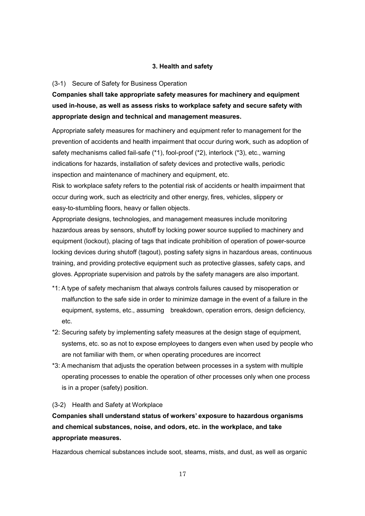#### **3. Health and safety**

#### (3-1) Secure of Safety for Business Operation

**Companies shall take appropriate safety measures for machinery and equipment used in-house, as well as assess risks to workplace safety and secure safety with appropriate design and technical and management measures.**

Appropriate safety measures for machinery and equipment refer to management for the prevention of accidents and health impairment that occur during work, such as adoption of safety mechanisms called fail-safe (\*1), fool-proof (\*2), interlock (\*3), etc., warning indications for hazards, installation of safety devices and protective walls, periodic inspection and maintenance of machinery and equipment, etc.

Risk to workplace safety refers to the potential risk of accidents or health impairment that occur during work, such as electricity and other energy, fires, vehicles, slippery or easy-to-stumbling floors, heavy or fallen objects.

Appropriate designs, technologies, and management measures include monitoring hazardous areas by sensors, shutoff by locking power source supplied to machinery and equipment (lockout), placing of tags that indicate prohibition of operation of power-source locking devices during shutoff (tagout), posting safety signs in hazardous areas, continuous training, and providing protective equipment such as protective glasses, safety caps, and gloves. Appropriate supervision and patrols by the safety managers are also important.

- \*1: A type of safety mechanism that always controls failures caused by misoperation or malfunction to the safe side in order to minimize damage in the event of a failure in the equipment, systems, etc., assuming breakdown, operation errors, design deficiency, etc.
- \*2: Securing safety by implementing safety measures at the design stage of equipment, systems, etc. so as not to expose employees to dangers even when used by people who are not familiar with them, or when operating procedures are incorrect
- \*3: A mechanism that adjusts the operation between processes in a system with multiple operating processes to enable the operation of other processes only when one process is in a proper (safety) position.

#### (3-2) Health and Safety at Workplace

**Companies shall understand status of workers' exposure to hazardous organisms and chemical substances, noise, and odors, etc. in the workplace, and take appropriate measures.**

Hazardous chemical substances include soot, steams, mists, and dust, as well as organic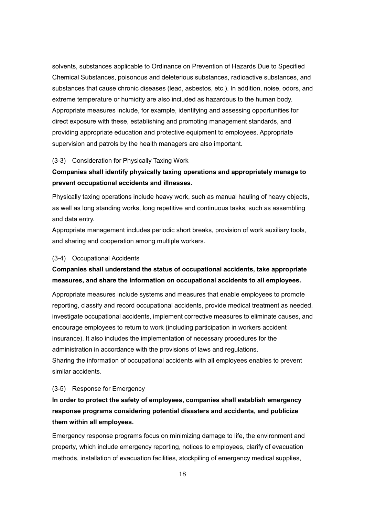solvents, substances applicable to Ordinance on Prevention of Hazards Due to Specified Chemical Substances, poisonous and deleterious substances, radioactive substances, and substances that cause chronic diseases (lead, asbestos, etc.). In addition, noise, odors, and extreme temperature or humidity are also included as hazardous to the human body. Appropriate measures include, for example, identifying and assessing opportunities for direct exposure with these, establishing and promoting management standards, and providing appropriate education and protective equipment to employees. Appropriate supervision and patrols by the health managers are also important.

#### (3-3) Consideration for Physically Taxing Work

### **Companies shall identify physically taxing operations and appropriately manage to prevent occupational accidents and illnesses.**

Physically taxing operations include heavy work, such as manual hauling of heavy objects, as well as long standing works, long repetitive and continuous tasks, such as assembling and data entry.

Appropriate management includes periodic short breaks, provision of work auxiliary tools, and sharing and cooperation among multiple workers.

#### (3-4) Occupational Accidents

### **Companies shall understand the status of occupational accidents, take appropriate measures, and share the information on occupational accidents to all employees.**

Appropriate measures include systems and measures that enable employees to promote reporting, classify and record occupational accidents, provide medical treatment as needed, investigate occupational accidents, implement corrective measures to eliminate causes, and encourage employees to return to work (including participation in workers accident insurance). It also includes the implementation of necessary procedures for the administration in accordance with the provisions of laws and regulations. Sharing the information of occupational accidents with all employees enables to prevent similar accidents.

#### (3-5) Response for Emergency

# **In order to protect the safety of employees, companies shall establish emergency response programs considering potential disasters and accidents, and publicize them within all employees.**

Emergency response programs focus on minimizing damage to life, the environment and property, which include emergency reporting, notices to employees, clarify of evacuation methods, installation of evacuation facilities, stockpiling of emergency medical supplies,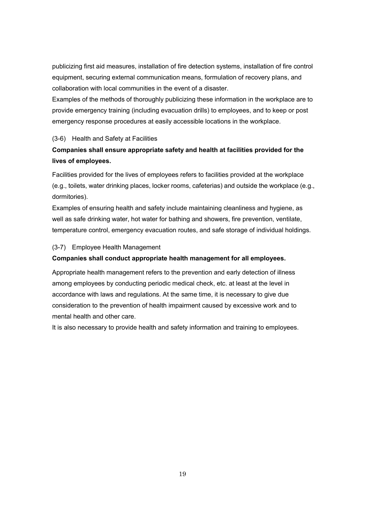publicizing first aid measures, installation of fire detection systems, installation of fire control equipment, securing external communication means, formulation of recovery plans, and collaboration with local communities in the event of a disaster.

Examples of the methods of thoroughly publicizing these information in the workplace are to provide emergency training (including evacuation drills) to employees, and to keep or post emergency response procedures at easily accessible locations in the workplace.

#### (3-6) Health and Safety at Facilities

# **Companies shall ensure appropriate safety and health at facilities provided for the lives of employees.**

Facilities provided for the lives of employees refers to facilities provided at the workplace (e.g., toilets, water drinking places, locker rooms, cafeterias) and outside the workplace (e.g., dormitories).

Examples of ensuring health and safety include maintaining cleanliness and hygiene, as well as safe drinking water, hot water for bathing and showers, fire prevention, ventilate, temperature control, emergency evacuation routes, and safe storage of individual holdings.

#### (3-7) Employee Health Management

#### **Companies shall conduct appropriate health management for all employees.**

Appropriate health management refers to the prevention and early detection of illness among employees by conducting periodic medical check, etc. at least at the level in accordance with laws and regulations. At the same time, it is necessary to give due consideration to the prevention of health impairment caused by excessive work and to mental health and other care.

It is also necessary to provide health and safety information and training to employees.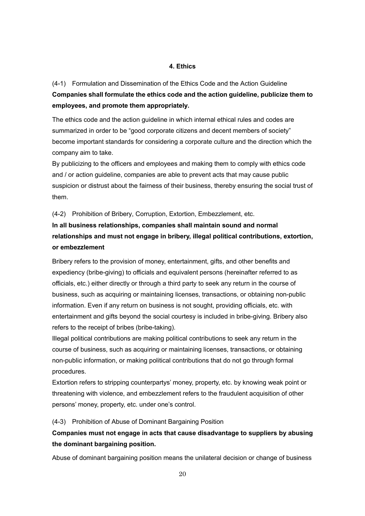#### **4. Ethics**

(4-1) Formulation and Dissemination of the Ethics Code and the Action Guideline **Companies shall formulate the ethics code and the action guideline, publicize them to employees, and promote them appropriately.**

The ethics code and the action guideline in which internal ethical rules and codes are summarized in order to be "good corporate citizens and decent members of society" become important standards for considering a corporate culture and the direction which the company aim to take.

By publicizing to the officers and employees and making them to comply with ethics code and / or action guideline, companies are able to prevent acts that may cause public suspicion or distrust about the fairness of their business, thereby ensuring the social trust of them.

(4-2) Prohibition of Bribery, Corruption, Extortion, Embezzlement, etc.

# **In all business relationships, companies shall maintain sound and normal relationships and must not engage in bribery, illegal political contributions, extortion, or embezzlement**

Bribery refers to the provision of money, entertainment, gifts, and other benefits and expediency (bribe-giving) to officials and equivalent persons (hereinafter referred to as officials, etc.) either directly or through a third party to seek any return in the course of business, such as acquiring or maintaining licenses, transactions, or obtaining non-public information. Even if any return on business is not sought, providing officials, etc. with entertainment and gifts beyond the social courtesy is included in bribe-giving. Bribery also refers to the receipt of bribes (bribe-taking).

Illegal political contributions are making political contributions to seek any return in the course of business, such as acquiring or maintaining licenses, transactions, or obtaining non-public information, or making political contributions that do not go through formal procedures.

Extortion refers to stripping counterpartys' money, property, etc. by knowing weak point or threatening with violence, and embezzlement refers to the fraudulent acquisition of other persons' money, property, etc. under one's control.

#### (4-3) Prohibition of Abuse of Dominant Bargaining Position

### **Companies must not engage in acts that cause disadvantage to suppliers by abusing the dominant bargaining position.**

Abuse of dominant bargaining position means the unilateral decision or change of business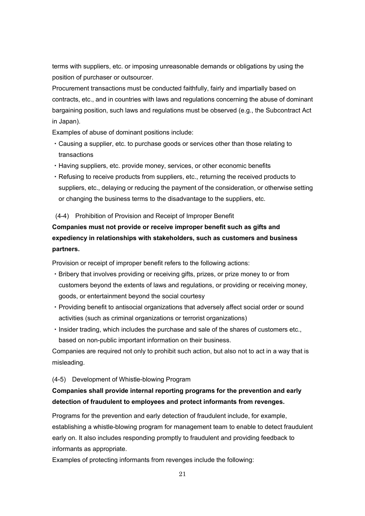terms with suppliers, etc. or imposing unreasonable demands or obligations by using the position of purchaser or outsourcer.

Procurement transactions must be conducted faithfully, fairly and impartially based on contracts, etc., and in countries with laws and regulations concerning the abuse of dominant bargaining position, such laws and regulations must be observed (e.g., the Subcontract Act in Japan).

Examples of abuse of dominant positions include:

- ・Causing a supplier, etc. to purchase goods or services other than those relating to transactions
- ・Having suppliers, etc. provide money, services, or other economic benefits
- ・Refusing to receive products from suppliers, etc., returning the received products to suppliers, etc., delaying or reducing the payment of the consideration, or otherwise setting or changing the business terms to the disadvantage to the suppliers, etc.

#### (4-4) Prohibition of Provision and Receipt of Improper Benefit

# **Companies must not provide or receive improper benefit such as gifts and expediency in relationships with stakeholders, such as customers and business partners.**

Provision or receipt of improper benefit refers to the following actions:

- ・Bribery that involves providing or receiving gifts, prizes, or prize money to or from customers beyond the extents of laws and regulations, or providing or receiving money, goods, or entertainment beyond the social courtesy
- ・Providing benefit to antisocial organizations that adversely affect social order or sound activities (such as criminal organizations or terrorist organizations)
- ・Insider trading, which includes the purchase and sale of the shares of customers etc., based on non-public important information on their business.

Companies are required not only to prohibit such action, but also not to act in a way that is misleading.

#### (4-5) Development of Whistle-blowing Program

### **Companies shall provide internal reporting programs for the prevention and early detection of fraudulent to employees and protect informants from revenges.**

Programs for the prevention and early detection of fraudulent include, for example, establishing a whistle-blowing program for management team to enable to detect fraudulent early on. It also includes responding promptly to fraudulent and providing feedback to informants as appropriate.

Examples of protecting informants from revenges include the following: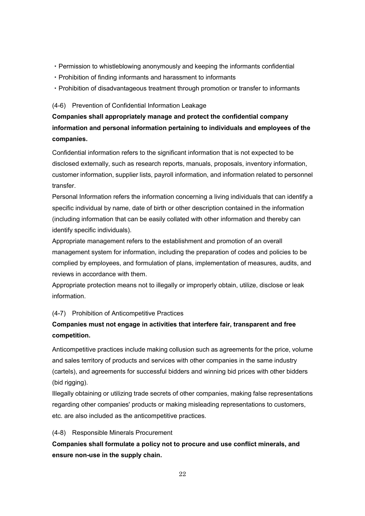- ・Permission to whistleblowing anonymously and keeping the informants confidential
- ・Prohibition of finding informants and harassment to informants
- ・Prohibition of disadvantageous treatment through promotion or transfer to informants

#### (4-6) Prevention of Confidential Information Leakage

# **Companies shall appropriately manage and protect the confidential company information and personal information pertaining to individuals and employees of the companies.**

Confidential information refers to the significant information that is not expected to be disclosed externally, such as research reports, manuals, proposals, inventory information, customer information, supplier lists, payroll information, and information related to personnel transfer.

Personal Information refers the information concerning a living individuals that can identify a specific individual by name, date of birth or other description contained in the information (including information that can be easily collated with other information and thereby can identify specific individuals).

Appropriate management refers to the establishment and promotion of an overall management system for information, including the preparation of codes and policies to be complied by employees, and formulation of plans, implementation of measures, audits, and reviews in accordance with them.

Appropriate protection means not to illegally or improperly obtain, utilize, disclose or leak information.

#### (4-7) Prohibition of Anticompetitive Practices

### **Companies must not engage in activities that interfere fair, transparent and free competition.**

Anticompetitive practices include making collusion such as agreements for the price, volume and sales territory of products and services with other companies in the same industry (cartels), and agreements for successful bidders and winning bid prices with other bidders (bid rigging).

Illegally obtaining or utilizing trade secrets of other companies, making false representations regarding other companies' products or making misleading representations to customers, etc. are also included as the anticompetitive practices.

#### (4-8) Responsible Minerals Procurement

**Companies shall formulate a policy not to procure and use conflict minerals, and ensure non-use in the supply chain.**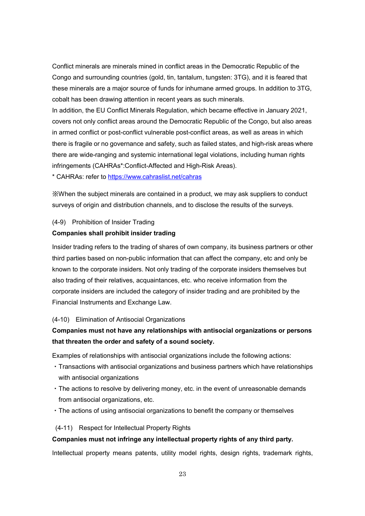Conflict minerals are minerals mined in conflict areas in the Democratic Republic of the Congo and surrounding countries (gold, tin, tantalum, tungsten: 3TG), and it is feared that these minerals are a major source of funds for inhumane armed groups. In addition to 3TG, cobalt has been drawing attention in recent years as such minerals.

In addition, the EU Conflict Minerals Regulation, which became effective in January 2021, covers not only conflict areas around the Democratic Republic of the Congo, but also areas in armed conflict or post-conflict vulnerable post-conflict areas, as well as areas in which there is fragile or no governance and safety, such as failed states, and high-risk areas where there are wide-ranging and systemic international legal violations, including human rights infringements (CAHRAs\*:Conflict-Affected and High-Risk Areas).

\* CAHRAs: refer to <https://www.cahraslist.net/cahras>

※When the subject minerals are contained in a product, we may ask suppliers to conduct surveys of origin and distribution channels, and to disclose the results of the surveys.

#### (4-9) Prohibition of Insider Trading

#### **Companies shall prohibit insider trading**

Insider trading refers to the trading of shares of own company, its business partners or other third parties based on non-public information that can affect the company, etc and only be known to the corporate insiders. Not only trading of the corporate insiders themselves but also trading of their relatives, acquaintances, etc. who receive information from the corporate insiders are included the category of insider trading and are prohibited by the Financial Instruments and Exchange Law.

#### (4-10) Elimination of Antisocial Organizations

### **Companies must not have any relationships with antisocial organizations or persons that threaten the order and safety of a sound society.**

Examples of relationships with antisocial organizations include the following actions:

- ・Transactions with antisocial organizations and business partners which have relationships with antisocial organizations
- ・The actions to resolve by delivering money, etc. in the event of unreasonable demands from antisocial organizations, etc.
- ・The actions of using antisocial organizations to benefit the company or themselves

#### (4-11) Respect for Intellectual Property Rights

#### **Companies must not infringe any intellectual property rights of any third party.**

Intellectual property means patents, utility model rights, design rights, trademark rights,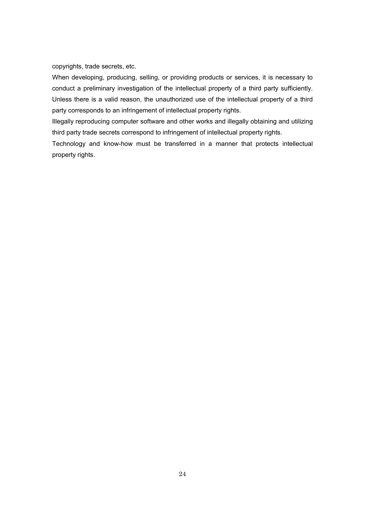copyrights, trade secrets, etc.

When developing, producing, selling, or providing products or services, it is necessary to conduct a preliminary investigation of the intellectual property of a third party sufficiently. Unless there is a valid reason, the unauthorized use of the intellectual property of a third party corresponds to an infringement of intellectual property rights.

Illegally reproducing computer software and other works and illegally obtaining and utilizing third party trade secrets correspond to infringement of intellectual property rights.

Technology and know-how must be transferred in a manner that protects intellectual property rights.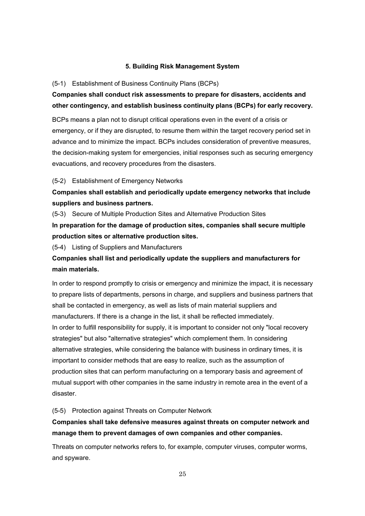#### **5. Building Risk Management System**

#### (5-1) Establishment of Business Continuity Plans (BCPs)

# **Companies shall conduct risk assessments to prepare for disasters, accidents and other contingency, and establish business continuity plans (BCPs) for early recovery.**

BCPs means a plan not to disrupt critical operations even in the event of a crisis or emergency, or if they are disrupted, to resume them within the target recovery period set in advance and to minimize the impact. BCPs includes consideration of preventive measures, the decision-making system for emergencies, initial responses such as securing emergency evacuations, and recovery procedures from the disasters.

#### (5-2) Establishment of Emergency Networks

### **Companies shall establish and periodically update emergency networks that include suppliers and business partners.**

(5-3) Secure of Multiple Production Sites and Alternative Production Sites

**In preparation for the damage of production sites, companies shall secure multiple production sites or alternative production sites.**

(5-4) Listing of Suppliers and Manufacturers

## **Companies shall list and periodically update the suppliers and manufacturers for main materials.**

In order to respond promptly to crisis or emergency and minimize the impact, it is necessary to prepare lists of departments, persons in charge, and suppliers and business partners that shall be contacted in emergency, as well as lists of main material suppliers and manufacturers. If there is a change in the list, it shall be reflected immediately. In order to fulfill responsibility for supply, it is important to consider not only "local recovery strategies" but also "alternative strategies" which complement them. In considering alternative strategies, while considering the balance with business in ordinary times, it is important to consider methods that are easy to realize, such as the assumption of production sites that can perform manufacturing on a temporary basis and agreement of mutual support with other companies in the same industry in remote area in the event of a disaster.

#### (5-5) Protection against Threats on Computer Network

### **Companies shall take defensive measures against threats on computer network and manage them to prevent damages of own companies and other companies.**

Threats on computer networks refers to, for example, computer viruses, computer worms, and spyware.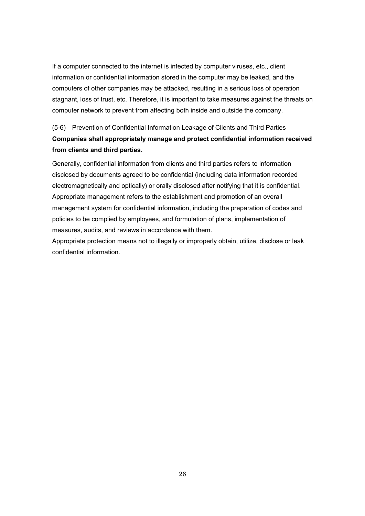If a computer connected to the internet is infected by computer viruses, etc., client information or confidential information stored in the computer may be leaked, and the computers of other companies may be attacked, resulting in a serious loss of operation stagnant, loss of trust, etc. Therefore, it is important to take measures against the threats on computer network to prevent from affecting both inside and outside the company.

# (5-6) Prevention of Confidential Information Leakage of Clients and Third Parties **Companies shall appropriately manage and protect confidential information received from clients and third parties.**

Generally, confidential information from clients and third parties refers to information disclosed by documents agreed to be confidential (including data information recorded electromagnetically and optically) or orally disclosed after notifying that it is confidential. Appropriate management refers to the establishment and promotion of an overall management system for confidential information, including the preparation of codes and policies to be complied by employees, and formulation of plans, implementation of measures, audits, and reviews in accordance with them.

Appropriate protection means not to illegally or improperly obtain, utilize, disclose or leak confidential information.